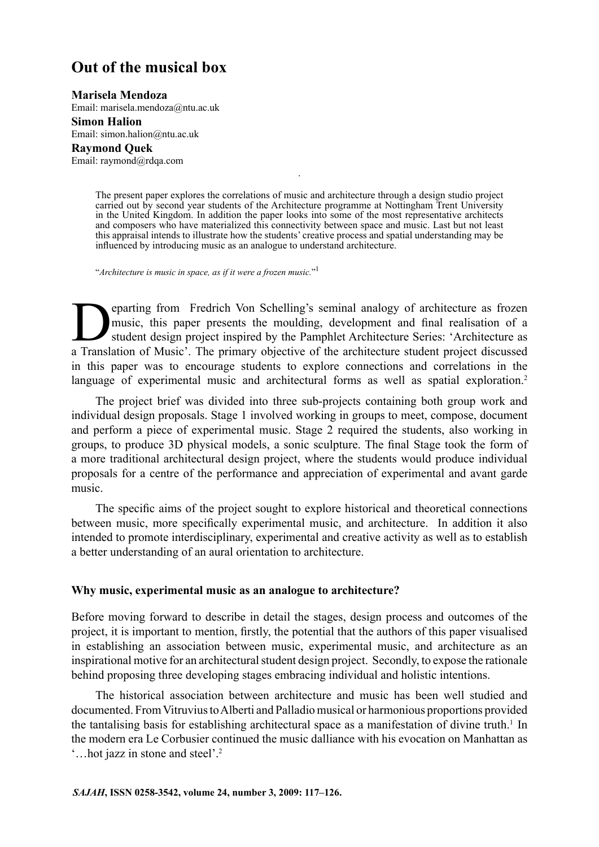# **Out of the musical box**

**Marisela Mendoza**

Email: marisela.mendoza@ntu.ac.uk

**Simon Halion**

Email: simon.halion@ntu.ac.uk

**Raymond Quek**

Email: raymond@rdqa.com

The present paper explores the correlations of music and architecture through a design studio project carried out by second year students of the Architecture programme at Nottingham Trent University in the United Kingdom. In addition the paper looks into some of the most representative architects and composers who have materialized this connectivity between space and music. Last but not least this appraisal intends to illustrate how the students' creative process and spatial understanding may be influenced by introducing music as an analogue to understand architecture.

.

"*Architecture is music in space, as if it were a frozen music.*" 1

parting from Fredrich Von Schelling's seminal analogy of architecture as frozen music, this paper presents the moulding, development and final realisation of a student design project inspired by the Pamphlet Architecture S music, this paper presents the moulding, development and final realisation of a student design project inspired by the Pamphlet Architecture Series: 'Architecture as a Translation of Music'. The primary objective of the architecture student project discussed in this paper was to encourage students to explore connections and correlations in the language of experimental music and architectural forms as well as spatial exploration.<sup>2</sup>

The project brief was divided into three sub-projects containing both group work and individual design proposals. Stage 1 involved working in groups to meet, compose, document and perform a piece of experimental music. Stage 2 required the students, also working in groups, to produce 3D physical models, a sonic sculpture. The final Stage took the form of a more traditional architectural design project, where the students would produce individual proposals for a centre of the performance and appreciation of experimental and avant garde music.

The specific aims of the project sought to explore historical and theoretical connections between music, more specifically experimental music, and architecture. In addition it also intended to promote interdisciplinary, experimental and creative activity as well as to establish a better understanding of an aural orientation to architecture.

#### **Why music, experimental music as an analogue to architecture?**

Before moving forward to describe in detail the stages, design process and outcomes of the project, it is important to mention, firstly, the potential that the authors of this paper visualised in establishing an association between music, experimental music, and architecture as an inspirational motive for an architectural student design project. Secondly, to expose the rationale behind proposing three developing stages embracing individual and holistic intentions.

The historical association between architecture and music has been well studied and documented. From Vitruvius to Alberti and Palladio musical or harmonious proportions provided the tantalising basis for establishing architectural space as a manifestation of divine truth.<sup>1</sup> In the modern era Le Corbusier continued the music dalliance with his evocation on Manhattan as '…hot jazz in stone and steel'.2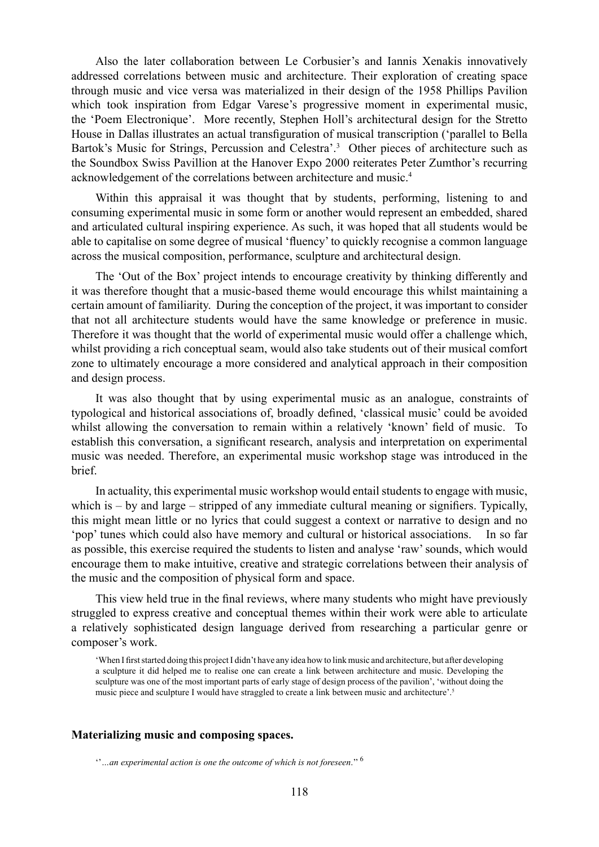Also the later collaboration between Le Corbusier's and Iannis Xenakis innovatively addressed correlations between music and architecture. Their exploration of creating space through music and vice versa was materialized in their design of the 1958 Phillips Pavilion which took inspiration from Edgar Varese's progressive moment in experimental music, the 'Poem Electronique'. More recently, Stephen Holl's architectural design for the Stretto House in Dallas illustrates an actual transfiguration of musical transcription ('parallel to Bella Bartok's Music for Strings, Percussion and Celestra'.<sup>3</sup> Other pieces of architecture such as the Soundbox Swiss Pavillion at the Hanover Expo 2000 reiterates Peter Zumthor's recurring acknowledgement of the correlations between architecture and music.4

Within this appraisal it was thought that by students, performing, listening to and consuming experimental music in some form or another would represent an embedded, shared and articulated cultural inspiring experience. As such, it was hoped that all students would be able to capitalise on some degree of musical 'fluency' to quickly recognise a common language across the musical composition, performance, sculpture and architectural design.

The 'Out of the Box' project intends to encourage creativity by thinking differently and it was therefore thought that a music-based theme would encourage this whilst maintaining a certain amount of familiarity. During the conception of the project, it was important to consider that not all architecture students would have the same knowledge or preference in music. Therefore it was thought that the world of experimental music would offer a challenge which, whilst providing a rich conceptual seam, would also take students out of their musical comfort zone to ultimately encourage a more considered and analytical approach in their composition and design process.

It was also thought that by using experimental music as an analogue, constraints of typological and historical associations of, broadly defined, 'classical music' could be avoided whilst allowing the conversation to remain within a relatively 'known' field of music. To establish this conversation, a significant research, analysis and interpretation on experimental music was needed. Therefore, an experimental music workshop stage was introduced in the brief.

In actuality, this experimental music workshop would entail students to engage with music, which is – by and large – stripped of any immediate cultural meaning or signifiers. Typically, this might mean little or no lyrics that could suggest a context or narrative to design and no 'pop' tunes which could also have memory and cultural or historical associations. In so far as possible, this exercise required the students to listen and analyse 'raw' sounds, which would encourage them to make intuitive, creative and strategic correlations between their analysis of the music and the composition of physical form and space.

This view held true in the final reviews, where many students who might have previously struggled to express creative and conceptual themes within their work were able to articulate a relatively sophisticated design language derived from researching a particular genre or composer's work.

'When I first started doing this project I didn't have any idea how to link music and architecture, but after developing a sculpture it did helped me to realise one can create a link between architecture and music. Developing the sculpture was one of the most important parts of early stage of design process of the pavilion', 'without doing the music piece and sculpture I would have straggled to create a link between music and architecture'.<sup>5</sup>

#### **Materializing music and composing spaces.**

<sup>&#</sup>x27;'*…an experimental action is one the outcome of which is not foreseen*.'' 6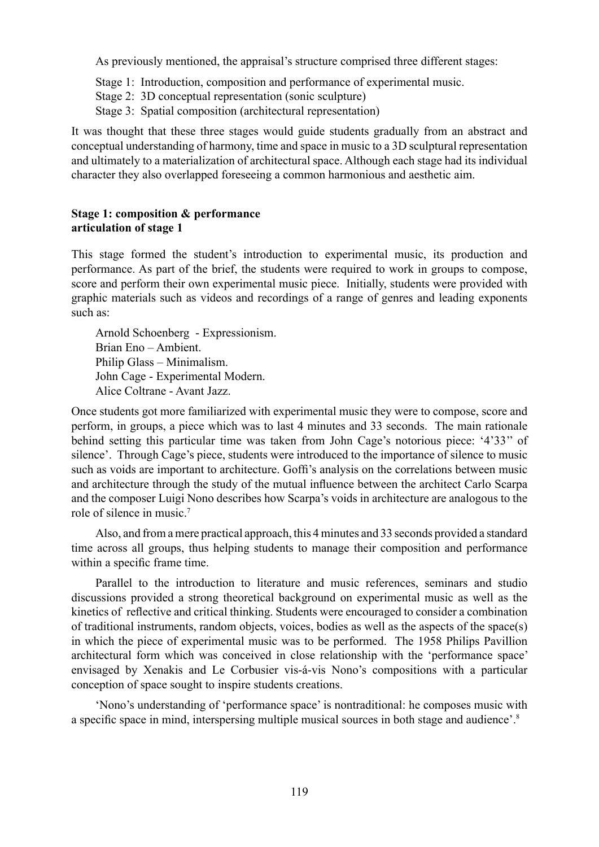As previously mentioned, the appraisal's structure comprised three different stages:

- Stage 1: Introduction, composition and performance of experimental music.
- Stage 2: 3D conceptual representation (sonic sculpture)
- Stage 3: Spatial composition (architectural representation)

It was thought that these three stages would guide students gradually from an abstract and conceptual understanding of harmony, time and space in music to a 3D sculptural representation and ultimately to a materialization of architectural space. Although each stage had its individual character they also overlapped foreseeing a common harmonious and aesthetic aim.

## **Stage 1: composition & performance articulation of stage 1**

This stage formed the student's introduction to experimental music, its production and performance. As part of the brief, the students were required to work in groups to compose, score and perform their own experimental music piece. Initially, students were provided with graphic materials such as videos and recordings of a range of genres and leading exponents such as:

Arnold Schoenberg - Expressionism. Brian Eno – Ambient. Philip Glass – Minimalism. John Cage - Experimental Modern. Alice Coltrane - Avant Jazz.

Once students got more familiarized with experimental music they were to compose, score and perform, in groups, a piece which was to last 4 minutes and 33 seconds. The main rationale behind setting this particular time was taken from John Cage's notorious piece: '4'33'' of silence'. Through Cage's piece, students were introduced to the importance of silence to music such as voids are important to architecture. Goffi's analysis on the correlations between music and architecture through the study of the mutual influence between the architect Carlo Scarpa and the composer Luigi Nono describes how Scarpa's voids in architecture are analogous to the role of silence in music.<sup>7</sup>

Also, and from a mere practical approach, this 4 minutes and 33 seconds provided a standard time across all groups, thus helping students to manage their composition and performance within a specific frame time.

Parallel to the introduction to literature and music references, seminars and studio discussions provided a strong theoretical background on experimental music as well as the kinetics of reflective and critical thinking. Students were encouraged to consider a combination of traditional instruments, random objects, voices, bodies as well as the aspects of the space(s) in which the piece of experimental music was to be performed. The 1958 Philips Pavillion architectural form which was conceived in close relationship with the 'performance space' envisaged by Xenakis and Le Corbusier vis-á-vis Nono's compositions with a particular conception of space sought to inspire students creations.

'Nono's understanding of 'performance space' is nontraditional: he composes music with a specific space in mind, interspersing multiple musical sources in both stage and audience'.8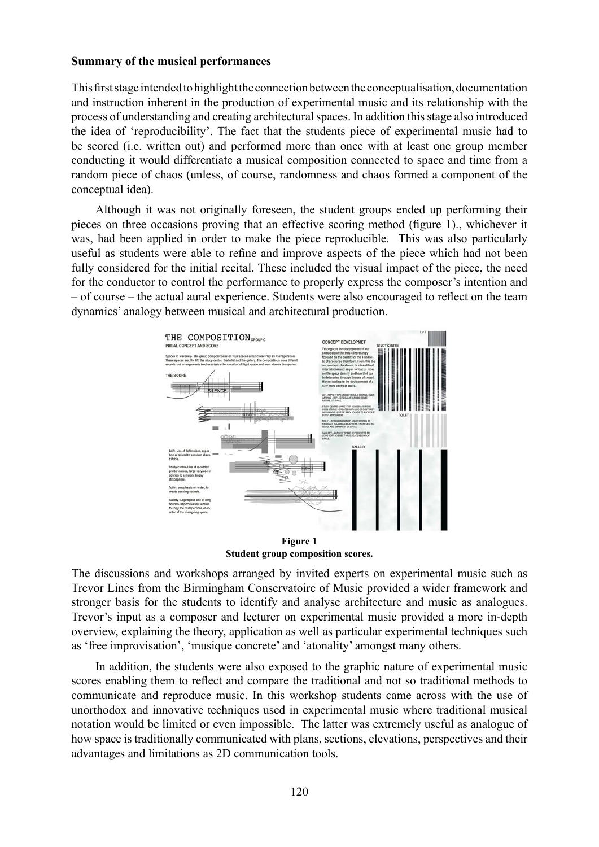## **Summary of the musical performances**

This firststageintendedtohighlighttheconnectionbetweentheconceptualisation,documentation and instruction inherent in the production of experimental music and its relationship with the process of understanding and creating architectural spaces. In addition this stage also introduced the idea of 'reproducibility'. The fact that the students piece of experimental music had to be scored (i.e. written out) and performed more than once with at least one group member conducting it would differentiate a musical composition connected to space and time from a random piece of chaos (unless, of course, randomness and chaos formed a component of the conceptual idea).

Although it was not originally foreseen, the student groups ended up performing their pieces on three occasions proving that an effective scoring method (figure 1)., whichever it was, had been applied in order to make the piece reproducible. This was also particularly useful as students were able to refine and improve aspects of the piece which had not been fully considered for the initial recital. These included the visual impact of the piece, the need for the conductor to control the performance to properly express the composer's intention and – of course – the actual aural experience. Students were also encouraged to reflect on the team dynamics' analogy between musical and architectural production.



**Figure 1 Student group composition scores.**

The discussions and workshops arranged by invited experts on experimental music such as Trevor Lines from the Birmingham Conservatoire of Music provided a wider framework and stronger basis for the students to identify and analyse architecture and music as analogues. Trevor's input as a composer and lecturer on experimental music provided a more in-depth overview, explaining the theory, application as well as particular experimental techniques such as 'free improvisation', 'musique concrete' and 'atonality' amongst many others.

In addition, the students were also exposed to the graphic nature of experimental music scores enabling them to reflect and compare the traditional and not so traditional methods to communicate and reproduce music. In this workshop students came across with the use of unorthodox and innovative techniques used in experimental music where traditional musical notation would be limited or even impossible. The latter was extremely useful as analogue of how space is traditionally communicated with plans, sections, elevations, perspectives and their advantages and limitations as 2D communication tools.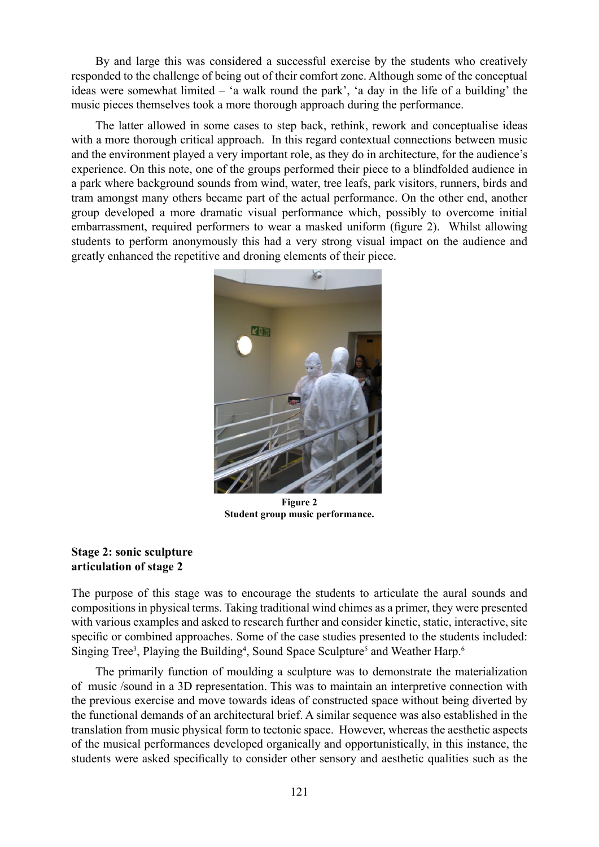By and large this was considered a successful exercise by the students who creatively responded to the challenge of being out of their comfort zone. Although some of the conceptual ideas were somewhat limited – 'a walk round the park', 'a day in the life of a building' the music pieces themselves took a more thorough approach during the performance.

The latter allowed in some cases to step back, rethink, rework and conceptualise ideas with a more thorough critical approach. In this regard contextual connections between music and the environment played a very important role, as they do in architecture, for the audience's experience. On this note, one of the groups performed their piece to a blindfolded audience in a park where background sounds from wind, water, tree leafs, park visitors, runners, birds and tram amongst many others became part of the actual performance. On the other end, another group developed a more dramatic visual performance which, possibly to overcome initial embarrassment, required performers to wear a masked uniform (figure 2). Whilst allowing students to perform anonymously this had a very strong visual impact on the audience and greatly enhanced the repetitive and droning elements of their piece.



**Figure 2 Student group music performance.**

# **Stage 2: sonic sculpture articulation of stage 2**

The purpose of this stage was to encourage the students to articulate the aural sounds and compositions in physical terms. Taking traditional wind chimes as a primer, they were presented with various examples and asked to research further and consider kinetic, static, interactive, site specific or combined approaches. Some of the case studies presented to the students included: Singing Tree<sup>3</sup>, Playing the Building<sup>4</sup>, Sound Space Sculpture<sup>5</sup> and Weather Harp.<sup>6</sup>

The primarily function of moulding a sculpture was to demonstrate the materialization of music /sound in a 3D representation. This was to maintain an interpretive connection with the previous exercise and move towards ideas of constructed space without being diverted by the functional demands of an architectural brief. A similar sequence was also established in the translation from music physical form to tectonic space. However, whereas the aesthetic aspects of the musical performances developed organically and opportunistically, in this instance, the students were asked specifically to consider other sensory and aesthetic qualities such as the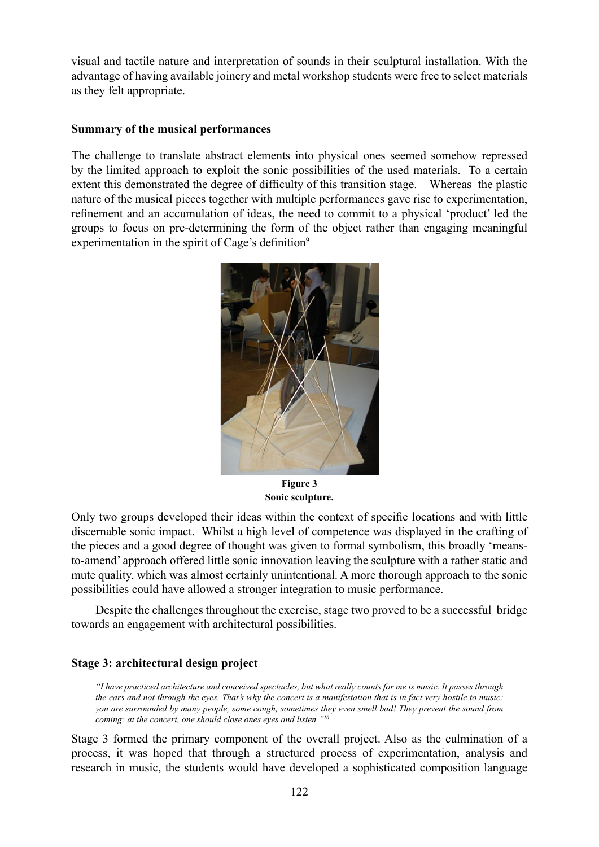visual and tactile nature and interpretation of sounds in their sculptural installation. With the advantage of having available joinery and metal workshop students were free to select materials as they felt appropriate.

## **Summary of the musical performances**

The challenge to translate abstract elements into physical ones seemed somehow repressed by the limited approach to exploit the sonic possibilities of the used materials. To a certain extent this demonstrated the degree of difficulty of this transition stage. Whereas the plastic nature of the musical pieces together with multiple performances gave rise to experimentation, refinement and an accumulation of ideas, the need to commit to a physical 'product' led the groups to focus on pre-determining the form of the object rather than engaging meaningful experimentation in the spirit of Cage's definition<sup>9</sup>



**Figure 3 Sonic sculpture.**

Only two groups developed their ideas within the context of specific locations and with little discernable sonic impact. Whilst a high level of competence was displayed in the crafting of the pieces and a good degree of thought was given to formal symbolism, this broadly 'meansto-amend' approach offered little sonic innovation leaving the sculpture with a rather static and mute quality, which was almost certainly unintentional. A more thorough approach to the sonic possibilities could have allowed a stronger integration to music performance.

Despite the challenges throughout the exercise, stage two proved to be a successful bridge towards an engagement with architectural possibilities.

# **Stage 3: architectural design project**

*"I have practiced architecture and conceived spectacles, but what really counts for me is music. It passes through the ears and not through the eyes. That's why the concert is a manifestation that is in fact very hostile to music: you are surrounded by many people, some cough, sometimes they even smell bad! They prevent the sound from coming: at the concert, one should close ones eyes and listen."10*

Stage 3 formed the primary component of the overall project. Also as the culmination of a process, it was hoped that through a structured process of experimentation, analysis and research in music, the students would have developed a sophisticated composition language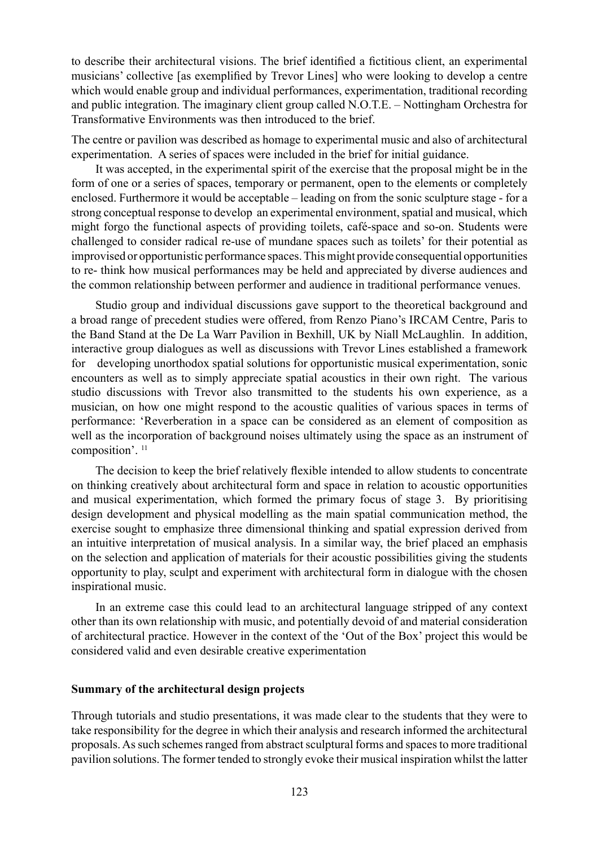to describe their architectural visions. The brief identified a fictitious client, an experimental musicians' collective [as exemplified by Trevor Lines] who were looking to develop a centre which would enable group and individual performances, experimentation, traditional recording and public integration. The imaginary client group called N.O.T.E. – Nottingham Orchestra for Transformative Environments was then introduced to the brief.

The centre or pavilion was described as homage to experimental music and also of architectural experimentation. A series of spaces were included in the brief for initial guidance.

It was accepted, in the experimental spirit of the exercise that the proposal might be in the form of one or a series of spaces, temporary or permanent, open to the elements or completely enclosed. Furthermore it would be acceptable – leading on from the sonic sculpture stage - for a strong conceptual response to develop an experimental environment, spatial and musical, which might forgo the functional aspects of providing toilets, café-space and so-on. Students were challenged to consider radical re-use of mundane spaces such as toilets' for their potential as improvised or opportunistic performance spaces. This might provide consequential opportunities to re- think how musical performances may be held and appreciated by diverse audiences and the common relationship between performer and audience in traditional performance venues.

Studio group and individual discussions gave support to the theoretical background and a broad range of precedent studies were offered, from Renzo Piano's IRCAM Centre, Paris to the Band Stand at the De La Warr Pavilion in Bexhill, UK by Niall McLaughlin. In addition, interactive group dialogues as well as discussions with Trevor Lines established a framework for developing unorthodox spatial solutions for opportunistic musical experimentation, sonic encounters as well as to simply appreciate spatial acoustics in their own right. The various studio discussions with Trevor also transmitted to the students his own experience, as a musician, on how one might respond to the acoustic qualities of various spaces in terms of performance: 'Reverberation in a space can be considered as an element of composition as well as the incorporation of background noises ultimately using the space as an instrument of composition'. 11

The decision to keep the brief relatively flexible intended to allow students to concentrate on thinking creatively about architectural form and space in relation to acoustic opportunities and musical experimentation, which formed the primary focus of stage 3. By prioritising design development and physical modelling as the main spatial communication method, the exercise sought to emphasize three dimensional thinking and spatial expression derived from an intuitive interpretation of musical analysis. In a similar way, the brief placed an emphasis on the selection and application of materials for their acoustic possibilities giving the students opportunity to play, sculpt and experiment with architectural form in dialogue with the chosen inspirational music.

In an extreme case this could lead to an architectural language stripped of any context other than its own relationship with music, and potentially devoid of and material consideration of architectural practice. However in the context of the 'Out of the Box' project this would be considered valid and even desirable creative experimentation

## **Summary of the architectural design projects**

Through tutorials and studio presentations, it was made clear to the students that they were to take responsibility for the degree in which their analysis and research informed the architectural proposals. As such schemes ranged from abstract sculptural forms and spaces to more traditional pavilion solutions. The former tended to strongly evoke their musical inspiration whilst the latter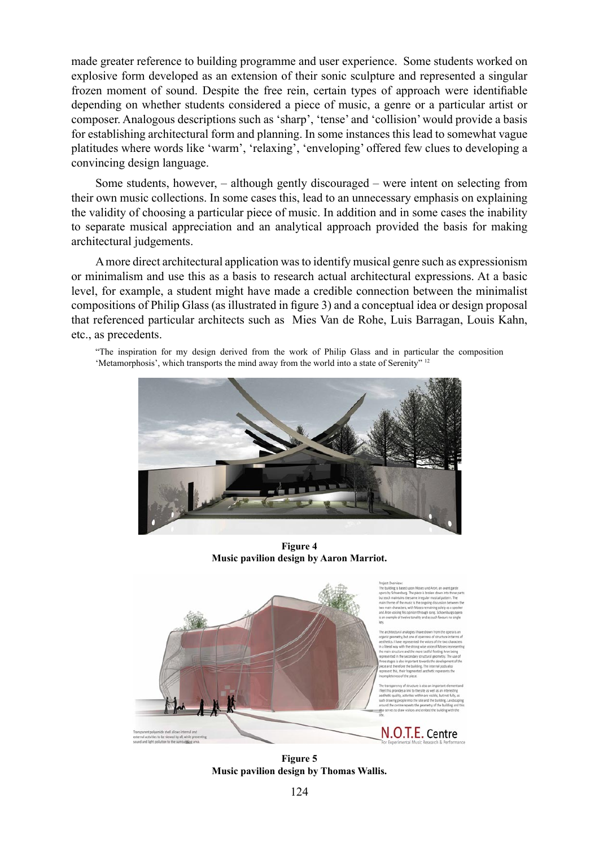made greater reference to building programme and user experience. Some students worked on explosive form developed as an extension of their sonic sculpture and represented a singular frozen moment of sound. Despite the free rein, certain types of approach were identifiable depending on whether students considered a piece of music, a genre or a particular artist or composer. Analogous descriptions such as 'sharp', 'tense' and 'collision' would provide a basis for establishing architectural form and planning. In some instances this lead to somewhat vague platitudes where words like 'warm', 'relaxing', 'enveloping' offered few clues to developing a convincing design language.

Some students, however, – although gently discouraged – were intent on selecting from their own music collections. In some cases this, lead to an unnecessary emphasis on explaining the validity of choosing a particular piece of music. In addition and in some cases the inability to separate musical appreciation and an analytical approach provided the basis for making architectural judgements.

A more direct architectural application was to identify musical genre such as expressionism or minimalism and use this as a basis to research actual architectural expressions. At a basic level, for example, a student might have made a credible connection between the minimalist compositions of Philip Glass (as illustrated in figure 3) and a conceptual idea or design proposal that referenced particular architects such as Mies Van de Rohe, Luis Barragan, Louis Kahn, etc., as precedents.

"The inspiration for my design derived from the work of Philip Glass and in particular the composition 'Metamorphosis', which transports the mind away from the world into a state of Serenity" <sup>12</sup>



**Figure 4 Music pavilion design by Aaron Marriot.**



**Figure 5 Music pavilion design by Thomas Wallis.**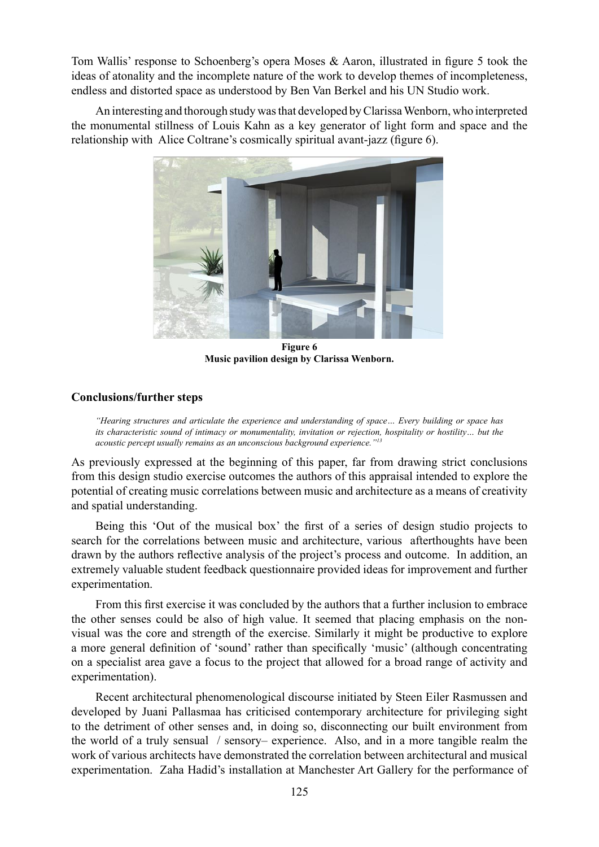Tom Wallis' response to Schoenberg's opera Moses & Aaron, illustrated in figure 5 took the ideas of atonality and the incomplete nature of the work to develop themes of incompleteness, endless and distorted space as understood by Ben Van Berkel and his UN Studio work.

An interesting and thorough study was that developed by Clarissa Wenborn, who interpreted the monumental stillness of Louis Kahn as a key generator of light form and space and the relationship with Alice Coltrane's cosmically spiritual avant-jazz (figure 6).



**Figure 6 Music pavilion design by Clarissa Wenborn.** 

# **Conclusions/further steps**

*"Hearing structures and articulate the experience and understanding of space… Every building or space has its characteristic sound of intimacy or monumentality, invitation or rejection, hospitality or hostility… but the acoustic percept usually remains as an unconscious background experience."13*

As previously expressed at the beginning of this paper, far from drawing strict conclusions from this design studio exercise outcomes the authors of this appraisal intended to explore the potential of creating music correlations between music and architecture as a means of creativity and spatial understanding.

Being this 'Out of the musical box' the first of a series of design studio projects to search for the correlations between music and architecture, various afterthoughts have been drawn by the authors reflective analysis of the project's process and outcome. In addition, an extremely valuable student feedback questionnaire provided ideas for improvement and further experimentation.

From this first exercise it was concluded by the authors that a further inclusion to embrace the other senses could be also of high value. It seemed that placing emphasis on the nonvisual was the core and strength of the exercise. Similarly it might be productive to explore a more general definition of 'sound' rather than specifically 'music' (although concentrating on a specialist area gave a focus to the project that allowed for a broad range of activity and experimentation).

Recent architectural phenomenological discourse initiated by Steen Eiler Rasmussen and developed by Juani Pallasmaa has criticised contemporary architecture for privileging sight to the detriment of other senses and, in doing so, disconnecting our built environment from the world of a truly sensual / sensory– experience. Also, and in a more tangible realm the work of various architects have demonstrated the correlation between architectural and musical experimentation. Zaha Hadid's installation at Manchester Art Gallery for the performance of